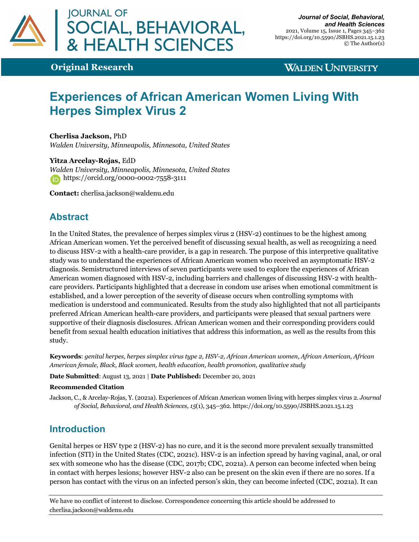

**Original Research**

**WALDEN UNIVERSITY** 

# **Experiences of African American Women Living With Herpes Simplex Virus 2**

**Cherlisa Jackson,** PhD *Walden University, Minneapolis, Minnesota, United States*

**Yitza Arcelay-Rojas,** EdD *Walden University, Minneapolis, Minnesota, United States* https://orcid.org/0000-0002-7558-3111

**Contact:** cherlisa.jackson@waldenu.edu

# **Abstract**

In the United States, the prevalence of herpes simplex virus 2 (HSV-2) continues to be the highest among African American women. Yet the perceived benefit of discussing sexual health, as well as recognizing a need to discuss HSV-2 with a health-care provider, is a gap in research. The purpose of this interpretive qualitative study was to understand the experiences of African American women who received an asymptomatic HSV-2 diagnosis. Semistructured interviews of seven participants were used to explore the experiences of African American women diagnosed with HSV-2, including barriers and challenges of discussing HSV-2 with healthcare providers. Participants highlighted that a decrease in condom use arises when emotional commitment is established, and a lower perception of the severity of disease occurs when controlling symptoms with medication is understood and communicated. Results from the study also highlighted that not all participants preferred African American health-care providers, and participants were pleased that sexual partners were supportive of their diagnosis disclosures. African American women and their corresponding providers could benefit from sexual health education initiatives that address this information, as well as the results from this study.

**Keywords**: *genital herpes, herpes simplex virus type 2, HSV-2, African American women, African American, African American female, Black, Black women, health education, health promotion, qualitative study*

#### **Date Submitted**: August 13, 2021 | **Date Published:** December 20, 2021

#### **Recommended Citation**

Jackson, C., & Arcelay-Rojas, Y. (2021a). Experiences of African American women living with herpes simplex virus 2. *Journal of Social, Behavioral, and Health Sciences, 15*(1), 345–362. https://doi.org/10.5590/JSBHS.2021.15.1.23

# **Introduction**

Genital herpes or HSV type 2 (HSV-2) has no cure, and it is the second more prevalent sexually transmitted infection (STI) in the United States (CDC, 2021c). HSV-2 is an infection spread by having vaginal, anal, or oral sex with someone who has the disease (CDC, 2017b; CDC, 2021a). A person can become infected when being in contact with herpes lesions; however HSV-2 also can be present on the skin even if there are no sores. If a person has contact with the virus on an infected person's skin, they can become infected (CDC, 2021a). It can

We have no conflict of interest to disclose. Correspondence concerning this article should be addressed to cherlisa.jackson@waldenu.edu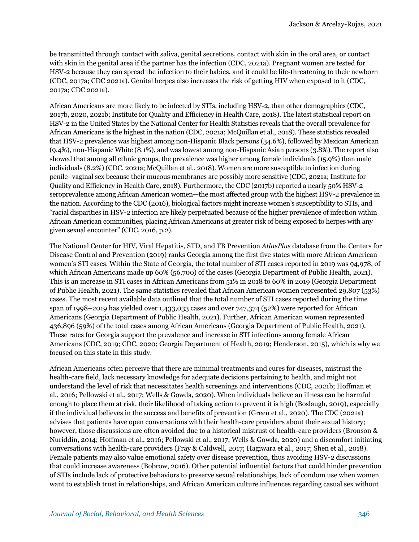be transmitted through contact with saliva, genital secretions, contact with skin in the oral area, or contact with skin in the genital area if the partner has the infection (CDC, 2021a). Pregnant women are tested for HSV-2 because they can spread the infection to their babies, and it could be life-threatening to their newborn (CDC, 2017a; CDC 2021a). Genital herpes also increases the risk of getting HIV when exposed to it (CDC, 2017a; CDC 2021a).

African Americans are more likely to be infected by STIs, including HSV-2, than other demographics (CDC, 2017b, 2020, 2021b; Institute for Quality and Efficiency in Health Care, 2018). The latest statistical report on HSV-2 in the United States by the National Center for Health Statistics reveals that the overall prevalence for African Americans is the highest in the nation (CDC, 2021a; McQuillan et al., 2018). These statistics revealed that HSV-2 prevalence was highest among non-Hispanic Black persons (34.6%), followed by Mexican American (9.4%), non-Hispanic White (8.1%), and was lowest among non-Hispanic Asian persons (3.8%). The report also showed that among all ethnic groups, the prevalence was higher among female individuals (15.9%) than male individuals (8.2%) (CDC, 2021a; McQuillan et al., 2018). Women are more susceptible to infection during penile–vaginal sex because their mucous membranes are possibly more sensitive (CDC, 2021a; Institute for Quality and Efficiency in Health Care, 2018). Furthermore, the CDC (2017b) reported a nearly 50% HSV-2 seroprevalence among African American women—the most affected group with the highest HSV-2 prevalence in the nation. According to the CDC (2016), biological factors might increase women's susceptibility to STIs, and "racial disparities in HSV-2 infection are likely perpetuated because of the higher prevalence of infection within African American communities, placing African Americans at greater risk of being exposed to herpes with any given sexual encounter" (CDC, 2016, p.2).

The National Center for HIV, Viral Hepatitis, STD, and TB Prevention *AtlasPlus* database from the Centers for Disease Control and Prevention (2019) ranks Georgia among the first five states with more African American women's STI cases. Within the State of Georgia, the total number of STI cases reported in 2019 was 94,978, of which African Americans made up 60% (56,700) of the cases (Georgia Department of Public Health, 2021). This is an increase in STI cases in African Americans from 51% in 2018 to 60% in 2019 (Georgia Department of Public Health, 2021). The same statistics revealed that African American women represented 29,807 (53%) cases. The most recent available data outlined that the total number of STI cases reported during the time span of 1998–2019 has yielded over 1,433,033 cases and over 747,374 (52%) were reported for African Americans (Georgia Department of Public Health, 2021). Further, African American women represented 436,896 (59%) of the total cases among African Americans (Georgia Department of Public Health, 2021). These rates for Georgia support the prevalence and increase in STI infections among female African Americans (CDC, 2019; CDC, 2020; Georgia Department of Health, 2019; Henderson, 2015), which is why we focused on this state in this study.

African Americans often perceive that there are minimal treatments and cures for diseases, mistrust the health-care field, lack necessary knowledge for adequate decisions pertaining to health, and might not understand the level of risk that necessitates health screenings and interventions (CDC, 2021b; Hoffman et al., 2016; Pellowski et al., 2017; Wells & Gowda, 2020). When individuals believe an illness can be harmful enough to place them at risk, their likelihood of taking action to prevent it is high (Boslaugh, 2019), especially if the individual believes in the success and benefits of prevention (Green et al., 2020). The CDC (2021a) advises that patients have open conversations with their health-care providers about their sexual history; however, those discussions are often avoided due to a historical mistrust of health-care providers (Bronson & Nuriddin, 2014; Hoffman et al., 2016; Pellowski et al., 2017; Wells & Gowda, 2020) and a discomfort initiating conversations with health-care providers (Fray & Caldwell, 2017; Hagiwara et al., 2017; Shen et al., 2018). Female patients may also value emotional safety over disease prevention, thus avoiding HSV-2 discussions that could increase awareness (Bobrow, 2016). Other potential influential factors that could hinder prevention of STIs include lack of protective behaviors to preserve sexual relationships, lack of condom use when women want to establish trust in relationships, and African American culture influences regarding casual sex without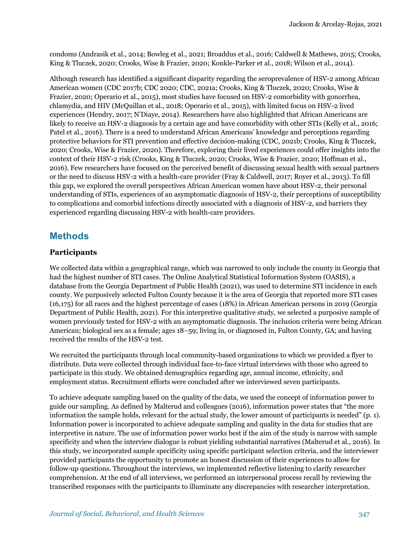condoms (Andrasik et al., 2014; Bowleg et al., 2021; Broaddus et al., 2016; Caldwell & Mathews, 2015; Crooks, King & Tluczek, 2020; Crooks, Wise & Frazier, 2020; Konkle-Parker et al., 2018; Wilson et al., 2014).

Although research has identified a significant disparity regarding the seroprevalence of HSV-2 among African American women (CDC 2017b; CDC 2020; CDC, 2021a; Crooks, King & Tluczek, 2020; Crooks, Wise & Frazier, 2020; Operario et al., 2015), most studies have focused on HSV-2 comorbidity with gonorrhea, chlamydia, and HIV (McQuillan et al., 2018; Operario et al., 2015), with limited focus on HSV-2 lived experiences (Hendry, 2017; N'Diaye, 2014). Researchers have also highlighted that African Americans are likely to receive an HSV-2 diagnosis by a certain age and have comorbidity with other STIs (Kelly et al., 2016; Patel et al., 2016). There is a need to understand African Americans' knowledge and perceptions regarding protective behaviors for STI prevention and effective decision-making (CDC, 2021b; Crooks, King & Tluczek, 2020; Crooks, Wise & Frazier, 2020). Therefore, exploring their lived experiences could offer insights into the context of their HSV-2 risk (Crooks, King & Tluczek, 2020; Crooks, Wise & Frazier, 2020; Hoffman et al., 2016). Few researchers have focused on the perceived benefit of discussing sexual health with sexual partners or the need to discuss HSV-2 with a health-care provider (Fray & Caldwell, 2017; Royer et al., 2013). To fill this gap, we explored the overall perspectives African American women have about HSV-2, their personal understanding of STIs, experiences of an asymptomatic diagnosis of HSV-2, their perceptions of susceptibility to complications and comorbid infections directly associated with a diagnosis of HSV-2, and barriers they experienced regarding discussing HSV-2 with health-care providers.

## **Methods**

#### **Participants**

We collected data within a geographical range, which was narrowed to only include the county in Georgia that had the highest number of STI cases. The Online Analytical Statistical Information System (OASIS), a database from the Georgia Department of Public Health (2021), was used to determine STI incidence in each county. We purposively selected Fulton County because it is the area of Georgia that reported more STI cases (16,175) for all races and the highest percentage of cases (18%) in African American persons in 2019 (Georgia Department of Public Health, 2021). For this interpretive qualitative study, we selected a purposive sample of women previously tested for HSV-2 with an asymptomatic diagnosis. The inclusion criteria were being African American; biological sex as a female; ages 18–59; living in, or diagnosed in, Fulton County, GA; and having received the results of the HSV-2 test.

We recruited the participants through local community-based organizations to which we provided a flyer to distribute. Data were collected through individual face-to-face virtual interviews with those who agreed to participate in this study. We obtained demographics regarding age, annual income, ethnicity, and employment status. Recruitment efforts were concluded after we interviewed seven participants.

To achieve adequate sampling based on the quality of the data, we used the concept of information power to guide our sampling. As defined by Malterud and colleagues (2016), information power states that "the more information the sample holds, relevant for the actual study, the lower amount of participants is needed" (p. 1). Information power is incorporated to achieve adequate sampling and quality in the data for studies that are interpretive in nature. The use of information power works best if the aim of the study is narrow with sample specificity and when the interview dialogue is robust yielding substantial narratives (Malterud et al., 2016). In this study, we incorporated sample specificity using specific participant selection criteria, and the interviewer provided participants the opportunity to promote an honest discussion of their experiences to allow for follow-up questions. Throughout the interviews, we implemented reflective listening to clarify researcher comprehension. At the end of all interviews, we performed an interpersonal process recall by reviewing the transcribed responses with the participants to illuminate any discrepancies with researcher interpretation.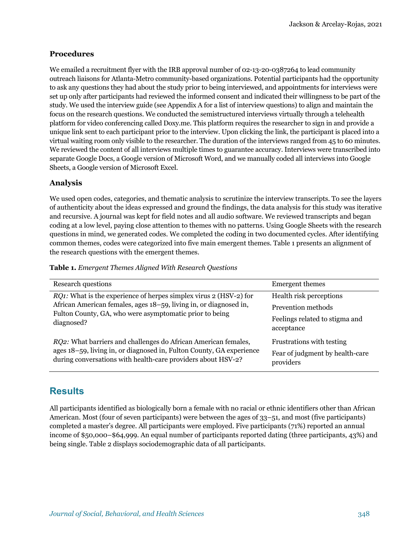#### **Procedures**

We emailed a recruitment flyer with the IRB approval number of 02-13-20-0387264 to lead community outreach liaisons for Atlanta-Metro community-based organizations. Potential participants had the opportunity to ask any questions they had about the study prior to being interviewed, and appointments for interviews were set up only after participants had reviewed the informed consent and indicated their willingness to be part of the study. We used the interview guide (see Appendix A for a list of interview questions) to align and maintain the focus on the research questions. We conducted the semistructured interviews virtually through a telehealth platform for video conferencing called Doxy.me. This platform requires the researcher to sign in and provide a unique link sent to each participant prior to the interview. Upon clicking the link, the participant is placed into a virtual waiting room only visible to the researcher. The duration of the interviews ranged from 45 to 60 minutes. We reviewed the content of all interviews multiple times to guarantee accuracy. Interviews were transcribed into separate Google Docs, a Google version of Microsoft Word, and we manually coded all interviews into Google Sheets, a Google version of Microsoft Excel.

#### **Analysis**

We used open codes, categories, and thematic analysis to scrutinize the interview transcripts. To see the layers of authenticity about the ideas expressed and ground the findings, the data analysis for this study was iterative and recursive. A journal was kept for field notes and all audio software. We reviewed transcripts and began coding at a low level, paying close attention to themes with no patterns. Using Google Sheets with the research questions in mind, we generated codes. We completed the coding in two documented cycles. After identifying common themes, codes were categorized into five main emergent themes. Table 1 presents an alignment of the research questions with the emergent themes.

| <b>Research questions</b>                                                                                                                                                                                       | Emergent themes                                                           |
|-----------------------------------------------------------------------------------------------------------------------------------------------------------------------------------------------------------------|---------------------------------------------------------------------------|
| RQ1: What is the experience of herpes simplex virus 2 (HSV-2) for<br>African American females, ages 18–59, living in, or diagnosed in,<br>Fulton County, GA, who were asymptomatic prior to being<br>diagnosed? | Health risk perceptions<br>Prevention methods                             |
|                                                                                                                                                                                                                 | Feelings related to stigma and<br>acceptance                              |
| <i>RQ2</i> : What barriers and challenges do African American females,<br>ages 18–59, living in, or diagnosed in, Fulton County, GA experience<br>during conversations with health-care providers about HSV-2?  | Frustrations with testing<br>Fear of judgment by health-care<br>providers |

**Table 1.** *Emergent Themes Aligned With Research Questions*

## **Results**

All participants identified as biologically born a female with no racial or ethnic identifiers other than African American. Most (four of seven participants) were between the ages of 33–51, and most (five participants) completed a master's degree. All participants were employed. Five participants (71%) reported an annual income of \$50,000–\$64,999. An equal number of participants reported dating (three participants, 43%) and being single. Table 2 displays sociodemographic data of all participants.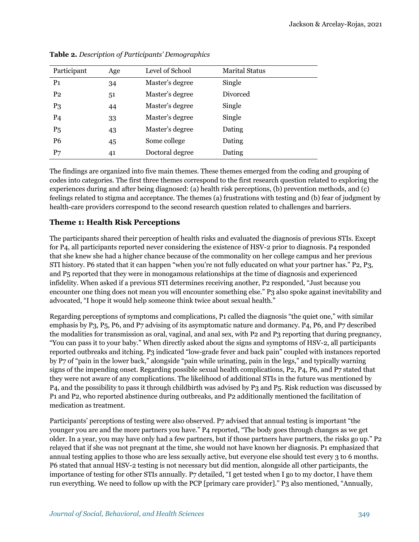| Participant    | Age | Level of School | <b>Marital Status</b> |  |
|----------------|-----|-----------------|-----------------------|--|
| P <sub>1</sub> | 34  | Master's degree | Single                |  |
| P <sub>2</sub> | 51  | Master's degree | Divorced              |  |
| P <sub>3</sub> | 44  | Master's degree | Single                |  |
| P <sub>4</sub> | 33  | Master's degree | Single                |  |
| P <sub>5</sub> | 43  | Master's degree | Dating                |  |
| P <sub>6</sub> | 45  | Some college    | Dating                |  |
| P7             | 41  | Doctoral degree | Dating                |  |

**Table 2.** *Description of Participants' Demographics*

The findings are organized into five main themes. These themes emerged from the coding and grouping of codes into categories. The first three themes correspond to the first research question related to exploring the experiences during and after being diagnosed: (a) health risk perceptions, (b) prevention methods, and (c) feelings related to stigma and acceptance. The themes (a) frustrations with testing and (b) fear of judgment by health-care providers correspond to the second research question related to challenges and barriers.

#### **Theme 1: Health Risk Perceptions**

The participants shared their perception of health risks and evaluated the diagnosis of previous STIs. Except for P4, all participants reported never considering the existence of HSV-2 prior to diagnosis. P4 responded that she knew she had a higher chance because of the commonality on her college campus and her previous STI history. P6 stated that it can happen "when you're not fully educated on what your partner has." P2, P3, and P5 reported that they were in monogamous relationships at the time of diagnosis and experienced infidelity. When asked if a previous STI determines receiving another, P2 responded, "Just because you encounter one thing does not mean you will encounter something else." P3 also spoke against inevitability and advocated, "I hope it would help someone think twice about sexual health."

Regarding perceptions of symptoms and complications, P1 called the diagnosis "the quiet one," with similar emphasis by P3, P5, P6, and P7 advising of its asymptomatic nature and dormancy. P4, P6, and P7 described the modalities for transmission as oral, vaginal, and anal sex, with P2 and P3 reporting that during pregnancy, "You can pass it to your baby." When directly asked about the signs and symptoms of HSV-2, all participants reported outbreaks and itching. P3 indicated "low-grade fever and back pain" coupled with instances reported by P7 of "pain in the lower back," alongside "pain while urinating, pain in the legs," and typically warning signs of the impending onset. Regarding possible sexual health complications, P2, P4, P6, and P7 stated that they were not aware of any complications. The likelihood of additional STIs in the future was mentioned by P4, and the possibility to pass it through childbirth was advised by P3 and P5. Risk reduction was discussed by P1 and P2, who reported abstinence during outbreaks, and P2 additionally mentioned the facilitation of medication as treatment.

Participants' perceptions of testing were also observed. P7 advised that annual testing is important "the younger you are and the more partners you have." P4 reported, "The body goes through changes as we get older. In a year, you may have only had a few partners, but if those partners have partners, the risks go up." P2 relayed that if she was not pregnant at the time, she would not have known her diagnosis. P1 emphasized that annual testing applies to those who are less sexually active, but everyone else should test every 3 to 6 months. P6 stated that annual HSV-2 testing is not necessary but did mention, alongside all other participants, the importance of testing for other STIs annually. P7 detailed, "I get tested when I go to my doctor, I have them run everything. We need to follow up with the PCP [primary care provider]." P3 also mentioned, "Annually,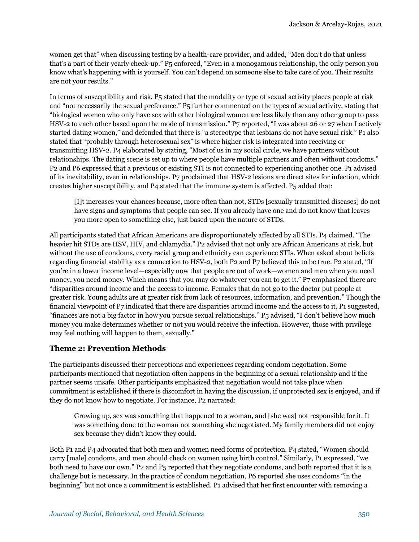women get that" when discussing testing by a health-care provider, and added, "Men don't do that unless that's a part of their yearly check-up." P5 enforced, "Even in a monogamous relationship, the only person you know what's happening with is yourself. You can't depend on someone else to take care of you. Their results are not your results."

In terms of susceptibility and risk, P5 stated that the modality or type of sexual activity places people at risk and "not necessarily the sexual preference." P5 further commented on the types of sexual activity, stating that "biological women who only have sex with other biological women are less likely than any other group to pass HSV-2 to each other based upon the mode of transmission." P7 reported, "I was about 26 or 27 when I actively started dating women," and defended that there is "a stereotype that lesbians do not have sexual risk." P1 also stated that "probably through heterosexual sex" is where higher risk is integrated into receiving or transmitting HSV-2. P4 elaborated by stating, "Most of us in my social circle, we have partners without relationships. The dating scene is set up to where people have multiple partners and often without condoms." P2 and P6 expressed that a previous or existing STI is not connected to experiencing another one. P1 advised of its inevitability, even in relationships. P7 proclaimed that HSV-2 lesions are direct sites for infection, which creates higher susceptibility, and P4 stated that the immune system is affected. P5 added that:

[I]t increases your chances because, more often than not, STDs [sexually transmitted diseases] do not have signs and symptoms that people can see. If you already have one and do not know that leaves you more open to something else, just based upon the nature of STDs.

All participants stated that African Americans are disproportionately affected by all STIs. P4 claimed, "The heavier hit STDs are HSV, HIV, and chlamydia." P2 advised that not only are African Americans at risk, but without the use of condoms, every racial group and ethnicity can experience STIs. When asked about beliefs regarding financial stability as a connection to HSV-2, both P2 and P7 believed this to be true. P2 stated, "If you're in a lower income level—especially now that people are out of work—women and men when you need money, you need money. Which means that you may do whatever you can to get it." P7 emphasized there are "disparities around income and the access to income. Females that do not go to the doctor put people at greater risk. Young adults are at greater risk from lack of resources, information, and prevention." Though the financial viewpoint of P7 indicated that there are disparities around income and the access to it, P1 suggested, "finances are not a big factor in how you pursue sexual relationships." P5 advised, "I don't believe how much money you make determines whether or not you would receive the infection. However, those with privilege may feel nothing will happen to them, sexually."

#### **Theme 2: Prevention Methods**

The participants discussed their perceptions and experiences regarding condom negotiation. Some participants mentioned that negotiation often happens in the beginning of a sexual relationship and if the partner seems unsafe. Other participants emphasized that negotiation would not take place when commitment is established if there is discomfort in having the discussion, if unprotected sex is enjoyed, and if they do not know how to negotiate. For instance, P2 narrated:

Growing up, sex was something that happened to a woman, and [she was] not responsible for it. It was something done to the woman not something she negotiated. My family members did not enjoy sex because they didn't know they could.

Both P1 and P4 advocated that both men and women need forms of protection. P4 stated, "Women should carry [male] condoms, and men should check on women using birth control." Similarly, P1 expressed, "we both need to have our own." P2 and P5 reported that they negotiate condoms, and both reported that it is a challenge but is necessary. In the practice of condom negotiation, P6 reported she uses condoms "in the beginning" but not once a commitment is established. P1 advised that her first encounter with removing a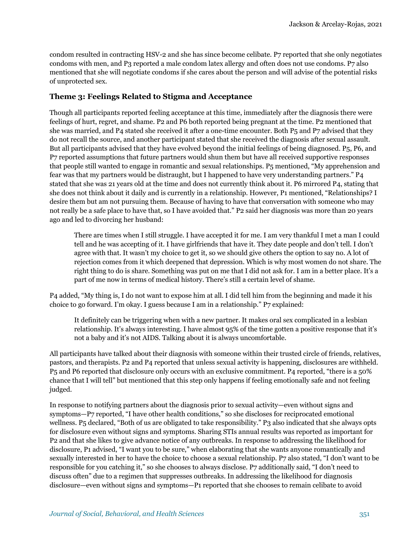condom resulted in contracting HSV-2 and she has since become celibate. P7 reported that she only negotiates condoms with men, and P3 reported a male condom latex allergy and often does not use condoms. P7 also mentioned that she will negotiate condoms if she cares about the person and will advise of the potential risks of unprotected sex.

#### **Theme 3: Feelings Related to Stigma and Acceptance**

Though all participants reported feeling acceptance at this time, immediately after the diagnosis there were feelings of hurt, regret, and shame. P2 and P6 both reported being pregnant at the time. P2 mentioned that she was married, and P4 stated she received it after a one-time encounter. Both P5 and P7 advised that they do not recall the source, and another participant stated that she received the diagnosis after sexual assault. But all participants advised that they have evolved beyond the initial feelings of being diagnosed. P5, P6, and P7 reported assumptions that future partners would shun them but have all received supportive responses that people still wanted to engage in romantic and sexual relationships. P5 mentioned, "My apprehension and fear was that my partners would be distraught, but I happened to have very understanding partners." P4 stated that she was 21 years old at the time and does not currently think about it. P6 mirrored P4, stating that she does not think about it daily and is currently in a relationship. However, P1 mentioned, "Relationships? I desire them but am not pursuing them. Because of having to have that conversation with someone who may not really be a safe place to have that, so I have avoided that." P2 said her diagnosis was more than 20 years ago and led to divorcing her husband:

There are times when I still struggle. I have accepted it for me. I am very thankful I met a man I could tell and he was accepting of it. I have girlfriends that have it. They date people and don't tell. I don't agree with that. It wasn't my choice to get it, so we should give others the option to say no. A lot of rejection comes from it which deepened that depression. Which is why most women do not share. The right thing to do is share. Something was put on me that I did not ask for. I am in a better place. It's a part of me now in terms of medical history. There's still a certain level of shame.

P4 added, "My thing is, I do not want to expose him at all. I did tell him from the beginning and made it his choice to go forward. I'm okay. I guess because I am in a relationship." P7 explained:

It definitely can be triggering when with a new partner. It makes oral sex complicated in a lesbian relationship. It's always interesting. I have almost 95% of the time gotten a positive response that it's not a baby and it's not AIDS. Talking about it is always uncomfortable.

All participants have talked about their diagnosis with someone within their trusted circle of friends, relatives, pastors, and therapists. P2 and P4 reported that unless sexual activity is happening, disclosures are withheld. P5 and P6 reported that disclosure only occurs with an exclusive commitment. P4 reported, "there is a 50% chance that I will tell" but mentioned that this step only happens if feeling emotionally safe and not feeling judged.

In response to notifying partners about the diagnosis prior to sexual activity—even without signs and symptoms—P7 reported, "I have other health conditions," so she discloses for reciprocated emotional wellness. P5 declared, "Both of us are obligated to take responsibility." P3 also indicated that she always opts for disclosure even without signs and symptoms. Sharing STIs annual results was reported as important for P2 and that she likes to give advance notice of any outbreaks. In response to addressing the likelihood for disclosure, P1 advised, "I want you to be sure," when elaborating that she wants anyone romantically and sexually interested in her to have the choice to choose a sexual relationship. P7 also stated, "I don't want to be responsible for you catching it," so she chooses to always disclose. P7 additionally said, "I don't need to discuss often" due to a regimen that suppresses outbreaks. In addressing the likelihood for diagnosis disclosure—even without signs and symptoms—P1 reported that she chooses to remain celibate to avoid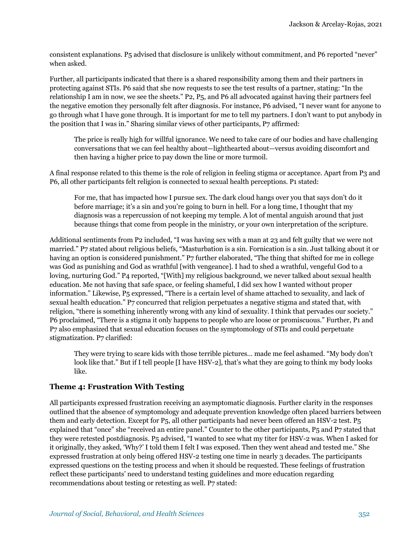consistent explanations. P5 advised that disclosure is unlikely without commitment, and P6 reported "never" when asked.

Further, all participants indicated that there is a shared responsibility among them and their partners in protecting against STIs. P6 said that she now requests to see the test results of a partner, stating: "In the relationship I am in now, we see the sheets." P2, P5, and P6 all advocated against having their partners feel the negative emotion they personally felt after diagnosis. For instance, P6 advised, "I never want for anyone to go through what I have gone through. It is important for me to tell my partners. I don't want to put anybody in the position that I was in." Sharing similar views of other participants, P7 affirmed:

The price is really high for willful ignorance. We need to take care of our bodies and have challenging conversations that we can feel healthy about—lighthearted about—versus avoiding discomfort and then having a higher price to pay down the line or more turmoil.

A final response related to this theme is the role of religion in feeling stigma or acceptance. Apart from P3 and P6, all other participants felt religion is connected to sexual health perceptions. P1 stated:

For me, that has impacted how I pursue sex. The dark cloud hangs over you that says don't do it before marriage; it's a sin and you're going to burn in hell. For a long time, I thought that my diagnosis was a repercussion of not keeping my temple. A lot of mental anguish around that just because things that come from people in the ministry, or your own interpretation of the scripture.

Additional sentiments from P2 included, "I was having sex with a man at 23 and felt guilty that we were not married." P7 stated about religious beliefs, "Masturbation is a sin. Fornication is a sin. Just talking about it or having an option is considered punishment." P7 further elaborated, "The thing that shifted for me in college was God as punishing and God as wrathful [with vengeance]. I had to shed a wrathful, vengeful God to a loving, nurturing God." P4 reported, "[With] my religious background, we never talked about sexual health education. Me not having that safe space, or feeling shameful, I did sex how I wanted without proper information." Likewise, P5 expressed, "There is a certain level of shame attached to sexuality, and lack of sexual health education." P7 concurred that religion perpetuates a negative stigma and stated that, with religion, "there is something inherently wrong with any kind of sexuality. I think that pervades our society." P6 proclaimed, "There is a stigma it only happens to people who are loose or promiscuous." Further, P1 and P7 also emphasized that sexual education focuses on the symptomology of STIs and could perpetuate stigmatization. P7 clarified:

They were trying to scare kids with those terrible pictures… made me feel ashamed. "My body don't look like that." But if I tell people [I have HSV-2], that's what they are going to think my body looks like.

#### **Theme 4: Frustration With Testing**

All participants expressed frustration receiving an asymptomatic diagnosis. Further clarity in the responses outlined that the absence of symptomology and adequate prevention knowledge often placed barriers between them and early detection. Except for P5, all other participants had never been offered an HSV-2 test. P5 explained that "once" she "received an entire panel." Counter to the other participants, P5 and P7 stated that they were retested postdiagnosis. P5 advised, "I wanted to see what my titer for HSV-2 was. When I asked for it originally, they asked, 'Why?' I told them I felt I was exposed. Then they went ahead and tested me." She expressed frustration at only being offered HSV-2 testing one time in nearly 3 decades. The participants expressed questions on the testing process and when it should be requested. These feelings of frustration reflect these participants' need to understand testing guidelines and more education regarding recommendations about testing or retesting as well. P7 stated: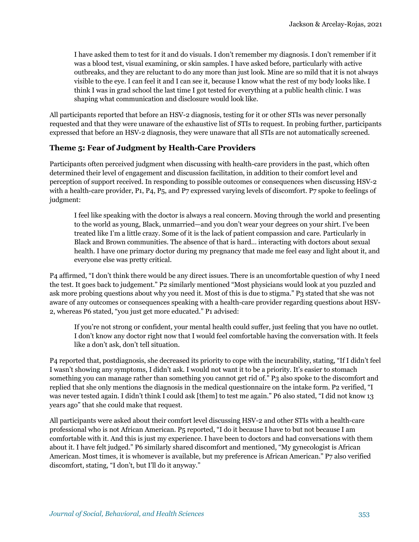I have asked them to test for it and do visuals. I don't remember my diagnosis. I don't remember if it was a blood test, visual examining, or skin samples. I have asked before, particularly with active outbreaks, and they are reluctant to do any more than just look. Mine are so mild that it is not always visible to the eye. I can feel it and I can see it, because I know what the rest of my body looks like. I think I was in grad school the last time I got tested for everything at a public health clinic. I was shaping what communication and disclosure would look like.

All participants reported that before an HSV-2 diagnosis, testing for it or other STIs was never personally requested and that they were unaware of the exhaustive list of STIs to request. In probing further, participants expressed that before an HSV-2 diagnosis, they were unaware that all STIs are not automatically screened.

#### **Theme 5: Fear of Judgment by Health-Care Providers**

Participants often perceived judgment when discussing with health-care providers in the past, which often determined their level of engagement and discussion facilitation, in addition to their comfort level and perception of support received. In responding to possible outcomes or consequences when discussing HSV-2 with a health-care provider, P1, P4, P5, and P7 expressed varying levels of discomfort. P7 spoke to feelings of judgment:

I feel like speaking with the doctor is always a real concern. Moving through the world and presenting to the world as young, Black, unmarried—and you don't wear your degrees on your shirt. I've been treated like I'm a little crazy. Some of it is the lack of patient compassion and care. Particularly in Black and Brown communities. The absence of that is hard… interacting with doctors about sexual health. I have one primary doctor during my pregnancy that made me feel easy and light about it, and everyone else was pretty critical.

P4 affirmed, "I don't think there would be any direct issues. There is an uncomfortable question of why I need the test. It goes back to judgement." P2 similarly mentioned "Most physicians would look at you puzzled and ask more probing questions about why you need it. Most of this is due to stigma." P3 stated that she was not aware of any outcomes or consequences speaking with a health-care provider regarding questions about HSV-2, whereas P6 stated, "you just get more educated." P1 advised:

If you're not strong or confident, your mental health could suffer, just feeling that you have no outlet. I don't know any doctor right now that I would feel comfortable having the conversation with. It feels like a don't ask, don't tell situation.

P4 reported that, postdiagnosis, she decreased its priority to cope with the incurability, stating, "If I didn't feel I wasn't showing any symptoms, I didn't ask. I would not want it to be a priority. It's easier to stomach something you can manage rather than something you cannot get rid of." P3 also spoke to the discomfort and replied that she only mentions the diagnosis in the medical questionnaire on the intake form. P2 verified, "I was never tested again. I didn't think I could ask [them] to test me again." P6 also stated, "I did not know 13 years ago" that she could make that request.

All participants were asked about their comfort level discussing HSV-2 and other STIs with a health-care professional who is not African American. P5 reported, "I do it because I have to but not because I am comfortable with it. And this is just my experience. I have been to doctors and had conversations with them about it. I have felt judged." P6 similarly shared discomfort and mentioned, "My gynecologist is African American. Most times, it is whomever is available, but my preference is African American." P7 also verified discomfort, stating, "I don't, but I'll do it anyway."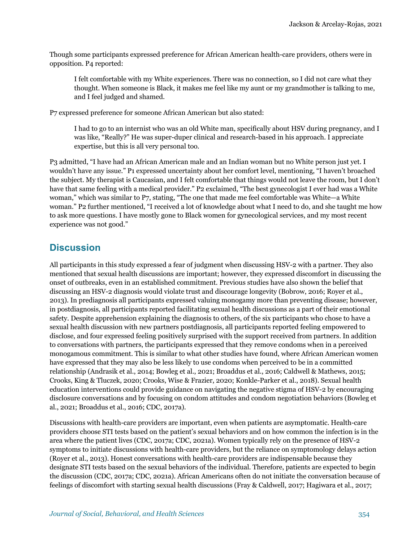Though some participants expressed preference for African American health-care providers, others were in opposition. P4 reported:

I felt comfortable with my White experiences. There was no connection, so I did not care what they thought. When someone is Black, it makes me feel like my aunt or my grandmother is talking to me, and I feel judged and shamed.

P7 expressed preference for someone African American but also stated:

I had to go to an internist who was an old White man, specifically about HSV during pregnancy, and I was like, "Really?" He was super-duper clinical and research-based in his approach. I appreciate expertise, but this is all very personal too.

P3 admitted, "I have had an African American male and an Indian woman but no White person just yet. I wouldn't have any issue." P1 expressed uncertainty about her comfort level, mentioning, "I haven't broached the subject. My therapist is Caucasian, and I felt comfortable that things would not leave the room, but I don't have that same feeling with a medical provider." P2 exclaimed, "The best gynecologist I ever had was a White woman," which was similar to P7, stating, "The one that made me feel comfortable was White—a White woman." P2 further mentioned, "I received a lot of knowledge about what I need to do, and she taught me how to ask more questions. I have mostly gone to Black women for gynecological services, and my most recent experience was not good."

## **Discussion**

All participants in this study expressed a fear of judgment when discussing HSV-2 with a partner. They also mentioned that sexual health discussions are important; however, they expressed discomfort in discussing the onset of outbreaks, even in an established commitment. Previous studies have also shown the belief that discussing an HSV-2 diagnosis would violate trust and discourage longevity (Bobrow, 2016; Royer et al., 2013). In prediagnosis all participants expressed valuing monogamy more than preventing disease; however, in postdiagnosis, all participants reported facilitating sexual health discussions as a part of their emotional safety. Despite apprehension explaining the diagnosis to others, of the six participants who chose to have a sexual health discussion with new partners postdiagnosis, all participants reported feeling empowered to disclose, and four expressed feeling positively surprised with the support received from partners. In addition to conversations with partners, the participants expressed that they remove condoms when in a perceived monogamous commitment. This is similar to what other studies have found, where African American women have expressed that they may also be less likely to use condoms when perceived to be in a committed relationship (Andrasik et al., 2014; Bowleg et al., 2021; Broaddus et al., 2016; Caldwell & Mathews, 2015; Crooks, King & Tluczek, 2020; Crooks, Wise & Frazier, 2020; Konkle-Parker et al., 2018). Sexual health education interventions could provide guidance on navigating the negative stigma of HSV-2 by encouraging disclosure conversations and by focusing on condom attitudes and condom negotiation behaviors (Bowleg et al., 2021; Broaddus et al., 2016; CDC, 2017a).

Discussions with health-care providers are important, even when patients are asymptomatic. Health-care providers choose STI tests based on the patient's sexual behaviors and on how common the infection is in the area where the patient lives (CDC, 2017a; CDC, 2021a). Women typically rely on the presence of HSV-2 symptoms to initiate discussions with health-care providers, but the reliance on symptomology delays action (Royer et al., 2013). Honest conversations with health-care providers are indispensable because they designate STI tests based on the sexual behaviors of the individual. Therefore, patients are expected to begin the discussion (CDC, 2017a; CDC, 2021a). African Americans often do not initiate the conversation because of feelings of discomfort with starting sexual health discussions (Fray & Caldwell, 2017; Hagiwara et al., 2017;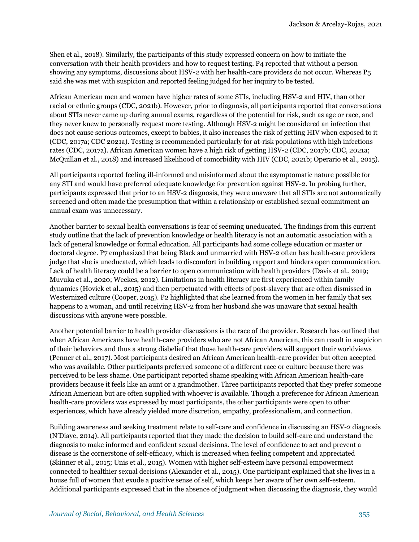Shen et al., 2018). Similarly, the participants of this study expressed concern on how to initiate the conversation with their health providers and how to request testing. P4 reported that without a person showing any symptoms, discussions about HSV-2 with her health-care providers do not occur. Whereas P5 said she was met with suspicion and reported feeling judged for her inquiry to be tested.

African American men and women have higher rates of some STIs, including HSV-2 and HIV, than other racial or ethnic groups (CDC, 2021b). However, prior to diagnosis, all participants reported that conversations about STIs never came up during annual exams, regardless of the potential for risk, such as age or race, and they never knew to personally request more testing. Although HSV-2 might be considered an infection that does not cause serious outcomes, except to babies, it also increases the risk of getting HIV when exposed to it (CDC, 2017a; CDC 2021a). Testing is recommended particularly for at-risk populations with high infections rates (CDC, 2017a). African American women have a high risk of getting HSV-2 (CDC, 2017b; CDC, 2021a; McQuillan et al., 2018) and increased likelihood of comorbidity with HIV (CDC, 2021b; Operario et al., 2015).

All participants reported feeling ill-informed and misinformed about the asymptomatic nature possible for any STI and would have preferred adequate knowledge for prevention against HSV-2. In probing further, participants expressed that prior to an HSV-2 diagnosis, they were unaware that all STIs are not automatically screened and often made the presumption that within a relationship or established sexual commitment an annual exam was unnecessary.

Another barrier to sexual health conversations is fear of seeming uneducated. The findings from this current study outline that the lack of prevention knowledge or health literacy is not an automatic association with a lack of general knowledge or formal education. All participants had some college education or master or doctoral degree. P7 emphasized that being Black and unmarried with HSV-2 often has health-care providers judge that she is uneducated, which leads to discomfort in building rapport and hinders open communication. Lack of health literacy could be a barrier to open communication with health providers (Davis et al., 2019; Muvuka et al., 2020; Weekes, 2012). Limitations in health literacy are first experienced within family dynamics (Hovick et al., 2015) and then perpetuated with effects of post-slavery that are often dismissed in Westernized culture (Cooper, 2015). P2 highlighted that she learned from the women in her family that sex happens to a woman, and until receiving HSV-2 from her husband she was unaware that sexual health discussions with anyone were possible.

Another potential barrier to health provider discussions is the race of the provider. Research has outlined that when African Americans have health-care providers who are not African American, this can result in suspicion of their behaviors and thus a strong disbelief that those health-care providers will support their worldviews (Penner et al., 2017). Most participants desired an African American health-care provider but often accepted who was available. Other participants preferred someone of a different race or culture because there was perceived to be less shame. One participant reported shame speaking with African American health-care providers because it feels like an aunt or a grandmother. Three participants reported that they prefer someone African American but are often supplied with whoever is available. Though a preference for African American health-care providers was expressed by most participants, the other participants were open to other experiences, which have already yielded more discretion, empathy, professionalism, and connection.

Building awareness and seeking treatment relate to self-care and confidence in discussing an HSV-2 diagnosis (N'Diaye, 2014). All participants reported that they made the decision to build self-care and understand the diagnosis to make informed and confident sexual decisions. The level of confidence to act and prevent a disease is the cornerstone of self-efficacy, which is increased when feeling competent and appreciated (Skinner et al., 2015; Unis et al., 2015). Women with higher self-esteem have personal empowerment connected to healthier sexual decisions (Alexander et al., 2015). One participant explained that she lives in a house full of women that exude a positive sense of self, which keeps her aware of her own self-esteem. Additional participants expressed that in the absence of judgment when discussing the diagnosis, they would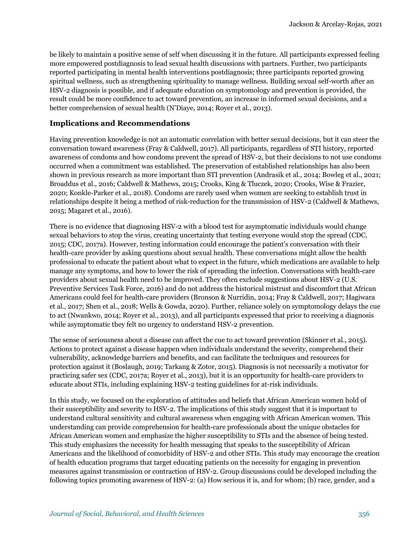be likely to maintain a positive sense of self when discussing it in the future. All participants expressed feeling more empowered postdiagnosis to lead sexual health discussions with partners. Further, two participants reported participating in mental health interventions postdiagnosis; three participants reported growing spiritual wellness, such as strengthening spirituality to manage wellness. Building sexual self-worth after an HSV-2 diagnosis is possible, and if adequate education on symptomology and prevention is provided, the result could be more confidence to act toward prevention, an increase in informed sexual decisions, and a better comprehension of sexual health (N'Diaye, 2014; Royer et al., 2013).

#### **Implications and Recommendations**

Having prevention knowledge is not an automatic correlation with better sexual decisions, but it can steer the conversation toward awareness (Fray & Caldwell, 2017). All participants, regardless of STI history, reported awareness of condoms and how condoms prevent the spread of HSV-2, but their decisions to not use condoms occurred when a commitment was established. The preservation of established relationships has also been shown in previous research as more important than STI prevention (Andrasik et al., 2014; Bowleg et al., 2021; Broaddus et al., 2016; Caldwell & Mathews, 2015; Crooks, King & Tluczek, 2020; Crooks, Wise & Frazier, 2020; Konkle-Parker et al., 2018). Condoms are rarely used when women are seeking to establish trust in relationships despite it being a method of risk-reduction for the transmission of HSV-2 (Caldwell & Mathews, 2015; Magaret et al., 2016).

There is no evidence that diagnosing HSV-2 with a blood test for asymptomatic individuals would change sexual behaviors to stop the virus, creating uncertainty that testing everyone would stop the spread (CDC, 2015; CDC, 2017a). However, testing information could encourage the patient's conversation with their health-care provider by asking questions about sexual health. These conversations might allow the health professional to educate the patient about what to expect in the future, which medications are available to help manage any symptoms, and how to lower the risk of spreading the infection. Conversations with health-care providers about sexual health need to be improved. They often exclude suggestions about HSV-2 (U.S. Preventive Services Task Force, 2016) and do not address the historical mistrust and discomfort that African Americans could feel for health-care providers (Bronson & Nurridin, 2014; Fray & Caldwell, 2017; Hagiwara et al., 2017; Shen et al., 2018; Wells & Gowda, 2020). Further, reliance solely on symptomology delays the cue to act (Nwankwo, 2014; Royer et al., 2013), and all participants expressed that prior to receiving a diagnosis while asymptomatic they felt no urgency to understand HSV-2 prevention.

The sense of seriousness about a disease can affect the cue to act toward prevention (Skinner et al., 2015). Actions to protect against a disease happen when individuals understand the severity, comprehend their vulnerability, acknowledge barriers and benefits, and can facilitate the techniques and resources for protection against it (Boslaugh, 2019; Tarkang & Zotor, 2015). Diagnosis is not necessarily a motivator for practicing safer sex (CDC, 2017a; Royer et al., 2013), but it is an opportunity for health-care providers to educate about STIs, including explaining HSV-2 testing guidelines for at-risk individuals.

In this study, we focused on the exploration of attitudes and beliefs that African American women hold of their susceptibility and severity to HSV-2. The implications of this study suggest that it is important to understand cultural sensitivity and cultural awareness when engaging with African American women. This understanding can provide comprehension for health-care professionals about the unique obstacles for African American women and emphasize the higher susceptibility to STIs and the absence of being tested. This study emphasizes the necessity for health messaging that speaks to the susceptibility of African Americans and the likelihood of comorbidity of HSV-2 and other STIs. This study may encourage the creation of health education programs that target educating patients on the necessity for engaging in prevention measures against transmission or contraction of HSV-2. Group discussions could be developed including the following topics promoting awareness of HSV-2: (a) How serious it is, and for whom; (b) race, gender, and a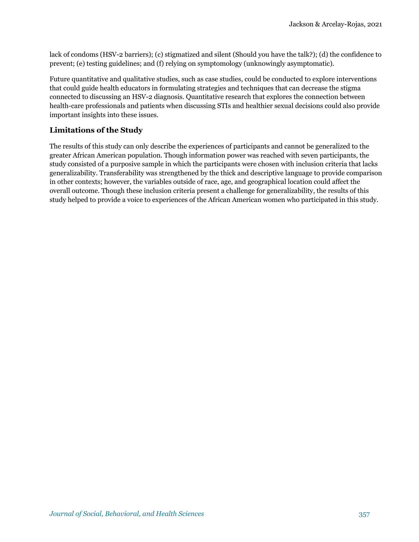lack of condoms (HSV-2 barriers); (c) stigmatized and silent (Should you have the talk?); (d) the confidence to prevent; (e) testing guidelines; and (f) relying on symptomology (unknowingly asymptomatic).

Future quantitative and qualitative studies, such as case studies, could be conducted to explore interventions that could guide health educators in formulating strategies and techniques that can decrease the stigma connected to discussing an HSV-2 diagnosis. Quantitative research that explores the connection between health-care professionals and patients when discussing STIs and healthier sexual decisions could also provide important insights into these issues.

#### **Limitations of the Study**

The results of this study can only describe the experiences of participants and cannot be generalized to the greater African American population. Though information power was reached with seven participants, the study consisted of a purposive sample in which the participants were chosen with inclusion criteria that lacks generalizability. Transferability was strengthened by the thick and descriptive language to provide comparison in other contexts; however, the variables outside of race, age, and geographical location could affect the overall outcome. Though these inclusion criteria present a challenge for generalizability, the results of this study helped to provide a voice to experiences of the African American women who participated in this study.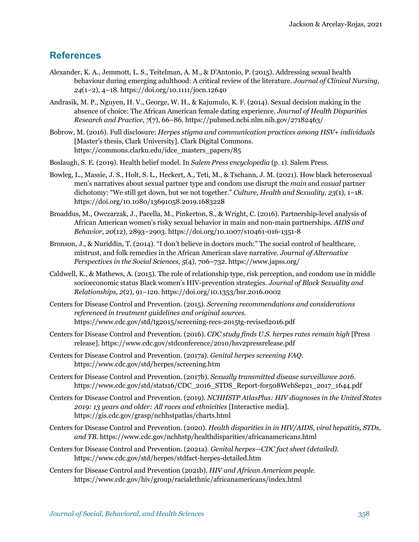# **References**

- Alexander, K. A., Jemmott, L. S., Teitelman, A. M., & D'Antonio, P. (2015). Addressing sexual health behaviour during emerging adulthood: A critical review of the literature. *Journal of Clinical Nursing, 24*(1–2), 4–18. https://doi.org/10.1111/jocn.12640
- Andrasik, M. P., Nguyen, H. V., George, W. H., & Kajumulo, K. F. (2014). Sexual decision making in the absence of choice: The African American female dating experience. *Journal of Health Disparities Research and Practice, 7*(7), 66–86. https://pubmed.ncbi.nlm.nih.gov/27182463/
- Bobrow, M. (2016). Full disclosure: *Herpes stigma and communication practices among HSV+ individuals* [Master's thesis, Clark University]. Clark Digital Commons*.* https://commons.clarku.edu/idce\_masters\_papers/85
- Boslaugh, S. E. (2019). Health belief model. In *Salem Press encyclopedia* (p. 1). Salem Press.
- Bowleg, L., Massie, J. S., Holt, S. L., Heckert, A., Teti, M., & Tschann, J. M. (2021). How black heterosexual men's narratives about sexual partner type and condom use disrupt the *main* and *casual* partner dichotomy: "We still get down, but we not together." *Culture, Health and Sexuality, 23*(1), 1–18. https://doi.org/10.1080/13691058.2019.1683228
- Broaddus, M., Owczarzak, J., Pacella, M., Pinkerton, S., & Wright, C. (2016). Partnership-level analysis of African American women's risky sexual behavior in main and non-main partnerships. *AIDS and Behavior, 20*(12), 2893–2903. https://doi.org/10.1007/s10461-016-1351-8
- Bronson, J., & Nuriddin, T. (2014). "I don't believe in doctors much:" The social control of healthcare, mistrust, and folk remedies in the African American slave narrative. *Journal of Alternative Perspectives in the Social Sciences, 5*(4), 706–732. https://www.japss.org/
- Caldwell, K., & Mathews, A. (2015). The role of relationship type, risk perception, and condom use in middle socioeconomic status Black women's HIV-prevention strategies. *Journal of Black Sexuality and Relationships, 2*(2), 91–120. https://doi.org/10.1353/bsr.2016.0002
- Centers for Disease Control and Prevention. (2015). *Screening recommendations and considerations referenced in treatment guidelines and original sources.* https://www.cdc.gov/std/tg2015/screening-recs-2015tg-revised2016.pdf
- Centers for Disease Control and Prevention. (2016). *CDC study finds U.S. herpes rates remain high* [Press release]. https://www.cdc.gov/stdconference/2010/hsv2pressrelease.pdf
- Centers for Disease Control and Prevention. (2017a). *Genital herpes screening FAQ.*  https://www.cdc.gov/std/herpes/screening.htm
- Centers for Disease Control and Prevention. (2017b). *Sexually transmitted disease surveillance 2016*. https://www.cdc.gov/std/stats16/CDC\_2016\_STDS\_Report-for508WebSep21\_2017\_1644.pdf
- Centers for Disease Control and Prevention. (2019). *NCHHSTP AtlasPlus: HIV diagnoses in the United States 2019: 13 years and older: All races and ethnicities* [Interactive media]. https://gis.cdc.gov/grasp/nchhstpatlas/charts.html
- Centers for Disease Control and Prevention. (2020). *Health disparities in in HIV/AIDS, viral hepatitis, STDs, and TB.* https://www.cdc.gov/nchhstp/healthdisparities/africanamericans.html
- Centers for Disease Control and Prevention. (2021a). *Genital herpes—CDC fact sheet (detailed).*  https://www.cdc.gov/std/herpes/stdfact-herpes-detailed.htm
- Centers for Disease Control and Prevention (2021b). *HIV and African American people.* https://www.cdc.gov/hiv/group/racialethnic/africanamericans/index.html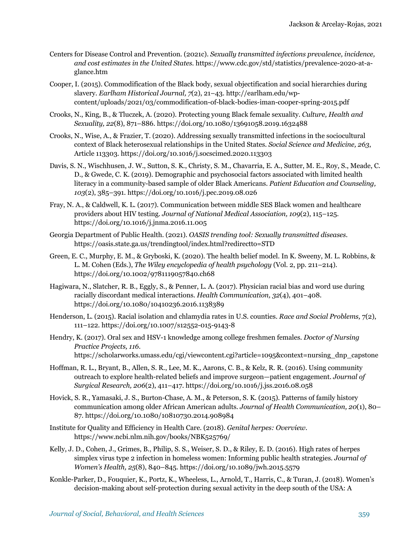- Centers for Disease Control and Prevention. (2021c). *Sexually transmitted infections prevalence, incidence, and cost estimates in the United States.* https://www.cdc.gov/std/statistics/prevalence-2020-at-aglance.htm
- Cooper, I. (2015). Commodification of the Black body, sexual objectification and social hierarchies during slavery. *Earlham Historical Journal, 7*(2), 21–43. http://earlham.edu/wpcontent/uploads/2021/03/commodification-of-black-bodies-iman-cooper-spring-2015.pdf
- Crooks, N., King, B., & Tluczek, A. (2020). Protecting young Black female sexuality. *Culture, Health and Sexuality, 22*(8), 871–886. https://doi.org/10.1080/13691058.2019.1632488
- Crooks, N., Wise, A., & Frazier, T. (2020). Addressing sexually transmitted infections in the sociocultural context of Black heterosexual relationships in the United States. *Social Science and Medicine, 263*, Article 113303. https://doi.org/10.1016/j.socscimed.2020.113303
- Davis, S. N., Wischhusen, J. W., Sutton, S. K., Christy, S. M., Chavarria, E. A., Sutter, M. E., Roy, S., Meade, C. D., & Gwede, C. K. (2019). Demographic and psychosocial factors associated with limited health literacy in a community-based sample of older Black Americans. *Patient Education and Counseling, 103*(2), 385–391*.* https://doi.org/10.1016/j.pec.2019.08.026
- Fray, N. A., & Caldwell, K. L. (2017). Communication between middle SES Black women and healthcare providers about HIV testing. *Journal of National Medical Association, 109*(2), 115–125. https://doi.org/10.1016/j.jnma.2016.11.005
- Georgia Department of Public Health. (2021). *OASIS trending tool: Sexually transmitted diseases.* https://oasis.state.ga.us/trendingtool/index.html?redirectto=STD
- Green, E. C., Murphy, E. M., & Gryboski, K. (2020). The health belief model. In K. Sweeny, M. L. Robbins, & L. M. Cohen (Eds.), *The Wiley encyclopedia of health psychology* (Vol. 2, pp. 211–214). https://doi.org/10.1002/9781119057840.ch68
- Hagiwara, N., Slatcher, R. B., Eggly, S., & Penner, L. A. (2017). Physician racial bias and word use during racially discordant medical interactions. *Health Communication, 32*(4), 401–408. https://doi.org/10.1080/10410236.2016.1138389
- Henderson, L. (2015). Racial isolation and chlamydia rates in U.S. counties. *Race and Social Problems,* 7(2), 111–122. https://doi.org/10.1007/s12552-015-9143-8
- Hendry, K. (2017). Oral sex and HSV-1 knowledge among college freshmen females. *Doctor of Nursing Practice Projects, 116*. https://scholarworks.umass.edu/cgi/viewcontent.cgi?article=1095&context=nursing\_dnp\_capstone
- Hoffman, R. L., Bryant, B., Allen, S. R., Lee, M. K., Aarons, C. B., & Kelz, R. R. (2016). Using community outreach to explore health-related beliefs and improve surgeon—patient engagement. *Journal of Surgical Research, 206*(2), 411–417. https://doi.org/10.1016/j.jss.2016.08.058
- Hovick, S. R., Yamasaki, J. S., Burton-Chase, A. M., & Peterson, S. K. (2015). Patterns of family history communication among older African American adults. *Journal of Health Communication, 20*(1), 80– 87. https://doi.org/10.1080/10810730.2014.908984
- Institute for Quality and Efficiency in Health Care. (2018). *Genital herpes: Overview.* https://www.ncbi.nlm.nih.gov/books/NBK525769/
- Kelly, J. D., Cohen, J., Grimes, B., Philip, S. S., Weiser, S. D., & Riley, E. D. (2016). High rates of herpes simplex virus type 2 infection in homeless women: Informing public health strategies. *Journal of Women's Health, 25*(8), 840–845. https://doi.org/10.1089/jwh.2015.5579
- Konkle-Parker, D., Fouquier, K., Portz, K., Wheeless, L., Arnold, T., Harris, C., & Turan, J. (2018). Women's decision-making about self-protection during sexual activity in the deep south of the USA: A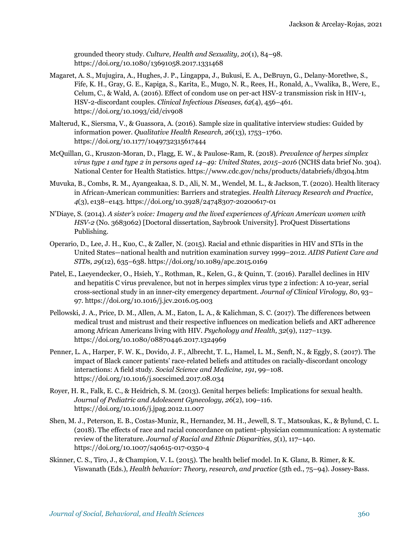grounded theory study. *Culture, Health and Sexuality, 20*(1), 84–98. https://doi.org/10.1080/13691058.2017.1331468

- Magaret, A. S., Mujugira, A., Hughes, J. P., Lingappa, J., Bukusi, E. A., DeBruyn, G., Delany-Moretlwe, S., Fife, K. H., Gray, G. E., Kapiga, S., Karita, E., Mugo, N. R., Rees, H., Ronald, A., Vwalika, B., Were, E., Celum, C., & Wald, A. (2016). Effect of condom use on per-act HSV-2 transmission risk in HIV-1, HSV-2-discordant couples. *Clinical Infectious Diseases, 62*(4), 456–461. https://doi.org/10.1093/cid/civ908
- Malterud, K., Siersma, V., & Guassora, A. (2016). Sample size in qualitative interview studies: Guided by information power. *Qualitative Health Research, 26*(13), 1753–1760. https://doi.org/10.1177/1049732315617444
- McQuillan, G., Kruszon-Moran, D., Flagg, E. W., & Paulose-Ram, R. (2018). *Prevalence of herpes simplex virus type 1 and type 2 in persons aged 14–49: United States, 2015–2016* (NCHS data brief No. 304). National Center for Health Statistics. https://www.cdc.gov/nchs/products/databriefs/db304.htm
- Muvuka, B., Combs, R. M., Ayangeakaa, S. D., Ali, N. M., Wendel, M. L., & Jackson, T. (2020). Health literacy in African-American communities: Barriers and strategies. *Health Literacy Research and Practice*, *4*(3), e138–e143. https://doi.org/10.3928/24748307-20200617-01
- N'Diaye, S. (2014). *A sister's voice: Imagery and the lived experiences of African American women with HSV-2* (No. 3683062) [Doctoral dissertation, Saybrook University]. ProQuest Dissertations Publishing.
- Operario, D., Lee, J. H., Kuo, C., & Zaller, N. (2015). Racial and ethnic disparities in HIV and STIs in the United States—national health and nutrition examination survey 1999–2012. *AIDS Patient Care and STDs, 29*(12), 635–638. https://doi.org/10.1089/apc.2015.0169
- Patel, E., Laeyendecker, O., Hsieh, Y., Rothman, R., Kelen, G., & Quinn, T. (2016). Parallel declines in HIV and hepatitis C virus prevalence, but not in herpes simplex virus type 2 infection: A 10-year, serial cross-sectional study in an inner-city emergency department. *Journal of Clinical Virology, 80*, 93– 97. https://doi.org/10.1016/j.jcv.2016.05.003
- Pellowski, J. A., Price, D. M., Allen, A. M., Eaton, L. A., & Kalichman, S. C. (2017). The differences between medical trust and mistrust and their respective influences on medication beliefs and ART adherence among African Americans living with HIV. *Psychology and Health, 32*(9), 1127–1139. https://doi.org/10.1080/08870446.2017.1324969
- Penner, L. A., Harper, F. W. K., Dovido, J. F., Albrecht, T. L., Hamel, L. M., Senft, N., & Eggly, S. (2017). The impact of Black cancer patients' race-related beliefs and attitudes on racially-discordant oncology interactions: A field study. *Social Science and Medicine, 191*, 99–108. https://doi.org/10.1016/j.socscimed.2017.08.034
- Royer, H. R., Falk, E. C., & Heidrich, S. M. (2013). Genital herpes beliefs: Implications for sexual health. *Journal of Pediatric and Adolescent Gynecology, 26*(2), 109–116. https://doi.org/10.1016/j.jpag.2012.11.007
- Shen, M. J., Peterson, E. B., Costas-Muniz, R., Hernandez, M. H., Jewell, S. T., Matsoukas, K., & Bylund, C. L. (2018). The effects of race and racial concordance on patient–physician communication: A systematic review of the literature. *Journal of Racial and Ethnic Disparities, 5*(1), 117–140. https://doi.org/10.1007/s40615-017-0350-4
- Skinner, C. S., Tiro, J., & Champion, V. L. (2015). The health belief model. In K. Glanz, B. Rimer, & K. Viswanath (Eds.), *Health behavior: Theory, research, and practice* (5th ed., 75–94). Jossey-Bass.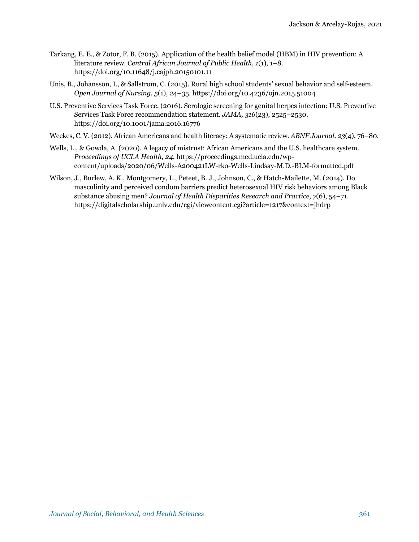- Tarkang, E. E., & Zotor, F. B. (2015). Application of the health belief model (HBM) in HIV prevention: A literature review. *Central African Journal of Public Health, 1*(1), 1–8. https://doi.org/10.11648/j.cajph.20150101.11
- Unis, B., Johansson, I., & Sallstrom, C. (2015). Rural high school students' sexual behavior and self-esteem. *Open Journal of Nursing, 5*(1), 24–35. https://doi.org/10.4236/ojn.2015.51004
- U.S. Preventive Services Task Force. (2016). Serologic screening for genital herpes infection: U.S. Preventive Services Task Force recommendation statement. *JAMA, 316*(23), 2525–2530. https://doi.org/10.1001/jama.2016.16776
- Weekes, C. V. (2012). African Americans and health literacy: A systematic review. *ABNF Journal, 23*(4), 76–80.
- Wells, L., & Gowda, A. (2020). A legacy of mistrust: African Americans and the U.S. healthcare system. *Proceedings of UCLA Health, 24*. https://proceedings.med.ucla.edu/wpcontent/uploads/2020/06/Wells-A200421LW-rko-Wells-Lindsay-M.D.-BLM-formatted.pdf
- Wilson, J., Burlew, A. K., Montgomery, L., Peteet, B. J., Johnson, C., & Hatch-Mailette, M. (2014). Do masculinity and perceived condom barriers predict heterosexual HIV risk behaviors among Black substance abusing men? *Journal of Health Disparities Research and Practice, 7*(6), 54–71. https://digitalscholarship.unlv.edu/cgi/viewcontent.cgi?article=1217&context=jhdrp